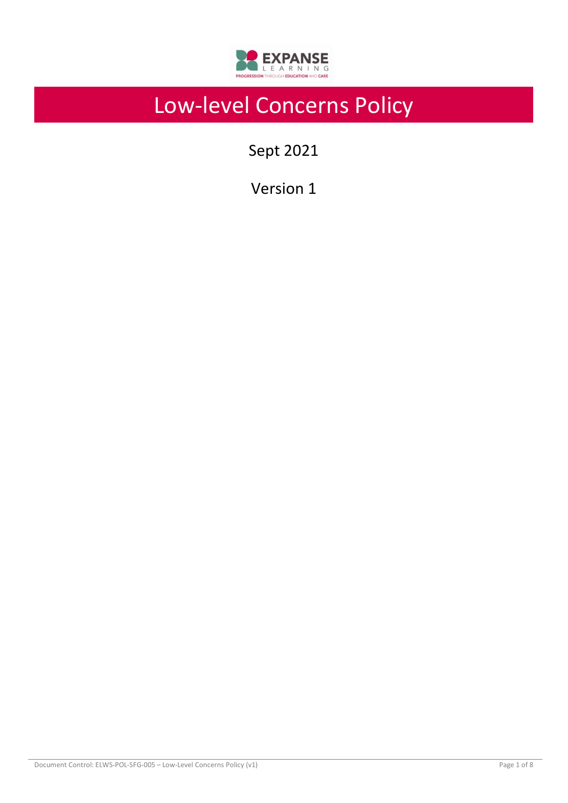

# Low-level Concerns Policy

Sept 2021

Version 1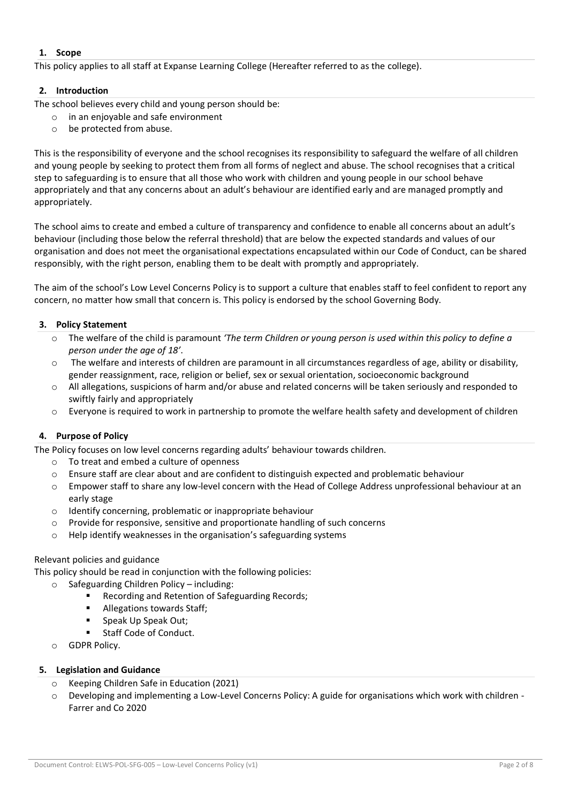## **1. Scope**

This policy applies to all staff at Expanse Learning College (Hereafter referred to as the college).

## **2. Introduction**

The school believes every child and young person should be:

- o in an enjoyable and safe environment
- o be protected from abuse.

This is the responsibility of everyone and the school recognises its responsibility to safeguard the welfare of all children and young people by seeking to protect them from all forms of neglect and abuse. The school recognises that a critical step to safeguarding is to ensure that all those who work with children and young people in our school behave appropriately and that any concerns about an adult's behaviour are identified early and are managed promptly and appropriately.

The school aims to create and embed a culture of transparency and confidence to enable all concerns about an adult's behaviour (including those below the referral threshold) that are below the expected standards and values of our organisation and does not meet the organisational expectations encapsulated within our Code of Conduct, can be shared responsibly, with the right person, enabling them to be dealt with promptly and appropriately.

The aim of the school's Low Level Concerns Policy is to support a culture that enables staff to feel confident to report any concern, no matter how small that concern is. This policy is endorsed by the school Governing Body.

## **3. Policy Statement**

- o The welfare of the child is paramount *'The term Children or young person is used within this policy to define a person under the age of 18'*.
- $\circ$  The welfare and interests of children are paramount in all circumstances regardless of age, ability or disability, gender reassignment, race, religion or belief, sex or sexual orientation, socioeconomic background
- o All allegations, suspicions of harm and/or abuse and related concerns will be taken seriously and responded to swiftly fairly and appropriately
- o Everyone is required to work in partnership to promote the welfare health safety and development of children

## **4. Purpose of Policy**

The Policy focuses on low level concerns regarding adults' behaviour towards children.

- o To treat and embed a culture of openness
- o Ensure staff are clear about and are confident to distinguish expected and problematic behaviour
- o Empower staff to share any low-level concern with the Head of College Address unprofessional behaviour at an early stage
- o Identify concerning, problematic or inappropriate behaviour
- o Provide for responsive, sensitive and proportionate handling of such concerns
- o Help identify weaknesses in the organisation's safeguarding systems

## Relevant policies and guidance

This policy should be read in conjunction with the following policies:

- Safeguarding Children Policy including:
	- Recording and Retention of Safeguarding Records;
	- Allegations towards Staff;
	- Speak Up Speak Out;
	- Staff Code of Conduct.
- o GDPR Policy.

## **5. Legislation and Guidance**

- o Keeping Children Safe in Education (2021)
- $\circ$  Developing and implementing a Low-Level Concerns Policy: A guide for organisations which work with children -Farrer and Co 2020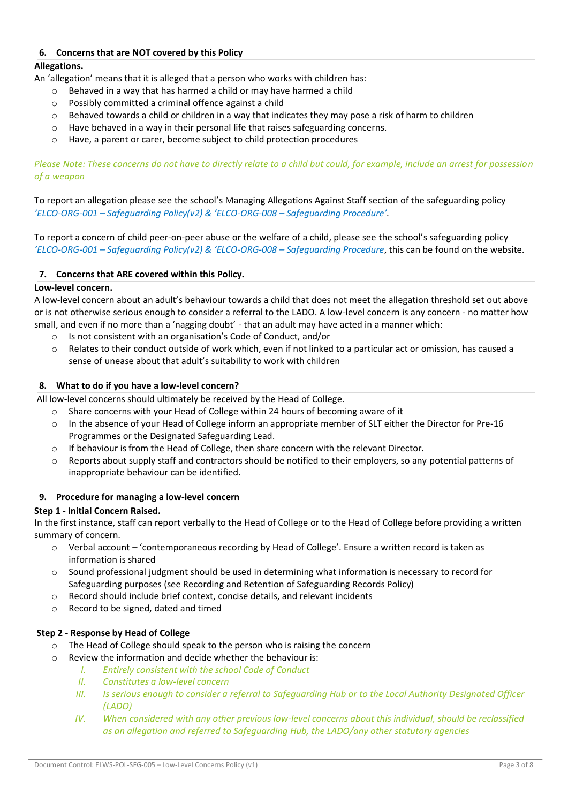## **6. Concerns that are NOT covered by this Policy**

## **Allegations.**

An 'allegation' means that it is alleged that a person who works with children has:

- o Behaved in a way that has harmed a child or may have harmed a child
- o Possibly committed a criminal offence against a child
- o Behaved towards a child or children in a way that indicates they may pose a risk of harm to children
- $\circ$  Have behaved in a way in their personal life that raises safeguarding concerns.
- o Have, a parent or carer, become subject to child protection procedures

*Please Note: These concerns do not have to directly relate to a child but could, for example, include an arrest for possession of a weapon* 

To report an allegation please see the school's Managing Allegations Against Staff section of the safeguarding policy *'ELCO-ORG-001 – Safeguarding Policy(v2) & 'ELCO-ORG-008 – Safeguarding Procedure'*.

To report a concern of child peer-on-peer abuse or the welfare of a child, please see the school's safeguarding policy *'ELCO-ORG-001 – Safeguarding Policy(v2) & 'ELCO-ORG-008 – Safeguarding Procedure*, this can be found on the website.

## **7. Concerns that ARE covered within this Policy.**

## **Low-level concern.**

A low-level concern about an adult's behaviour towards a child that does not meet the allegation threshold set out above or is not otherwise serious enough to consider a referral to the LADO. A low-level concern is any concern - no matter how small, and even if no more than a 'nagging doubt' - that an adult may have acted in a manner which:

- Is not consistent with an organisation's Code of Conduct, and/or
- o Relates to their conduct outside of work which, even if not linked to a particular act or omission, has caused a sense of unease about that adult's suitability to work with children

## **8. What to do if you have a low-level concern?**

All low-level concerns should ultimately be received by the Head of College.

- o Share concerns with your Head of College within 24 hours of becoming aware of it
- o In the absence of your Head of College inform an appropriate member of SLT either the Director for Pre-16 Programmes or the Designated Safeguarding Lead.
- $\circ$  If behaviour is from the Head of College, then share concern with the relevant Director.
- $\circ$  Reports about supply staff and contractors should be notified to their employers, so any potential patterns of inappropriate behaviour can be identified.

## **9. Procedure for managing a low-level concern**

## **Step 1 - Initial Concern Raised.**

In the first instance, staff can report verbally to the Head of College or to the Head of College before providing a written summary of concern.

- o Verbal account 'contemporaneous recording by Head of College'. Ensure a written record is taken as information is shared
- $\circ$  Sound professional judgment should be used in determining what information is necessary to record for Safeguarding purposes (see Recording and Retention of Safeguarding Records Policy)
- o Record should include brief context, concise details, and relevant incidents
- o Record to be signed, dated and timed

## **Step 2 - Response by Head of College**

- o The Head of College should speak to the person who is raising the concern
- o Review the information and decide whether the behaviour is:
	- *I. Entirely consistent with the school Code of Conduct*
	- *II. Constitutes a low-level concern*
	- *III. Is serious enough to consider a referral to Safeguarding Hub or to the Local Authority Designated Officer (LADO)*
	- *IV.* When considered with any other previous low-level concerns about this individual, should be reclassified *as an allegation and referred to Safeguarding Hub, the LADO/any other statutory agencies*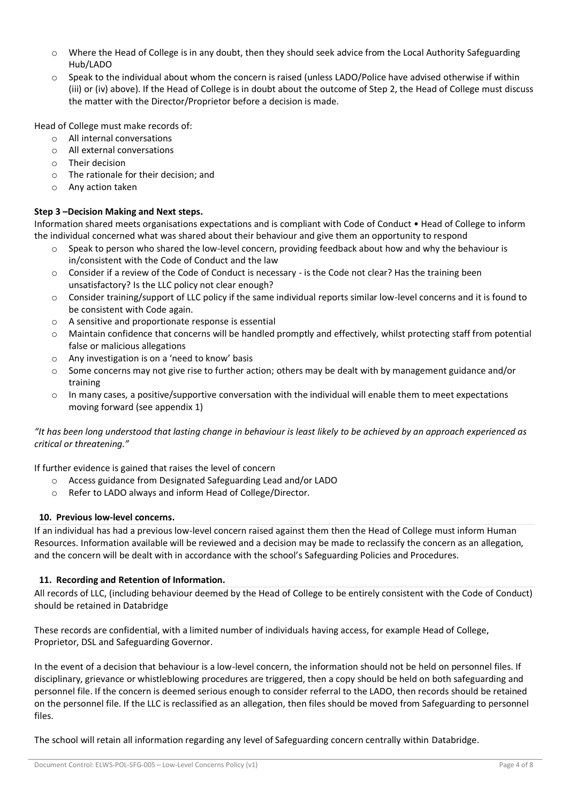- o Where the Head of College is in any doubt, then they should seek advice from the Local Authority Safeguarding Hub/LADO
- o Speak to the individual about whom the concern is raised (unless LADO/Police have advised otherwise if within (iii) or (iv) above). If the Head of College is in doubt about the outcome of Step 2, the Head of College must discuss the matter with the Director/Proprietor before a decision is made.

Head of College must make records of:

- o All internal conversations
- o All external conversations
- o Their decision
- o The rationale for their decision; and
- o Any action taken

## **Step 3 –Decision Making and Next steps.**

Information shared meets organisations expectations and is compliant with Code of Conduct • Head of College to inform the individual concerned what was shared about their behaviour and give them an opportunity to respond

- Speak to person who shared the low-level concern, providing feedback about how and why the behaviour is in/consistent with the Code of Conduct and the law
- o Consider if a review of the Code of Conduct is necessary is the Code not clear? Has the training been unsatisfactory? Is the LLC policy not clear enough?
- $\circ$  Consider training/support of LLC policy if the same individual reports similar low-level concerns and it is found to be consistent with Code again.
- o A sensitive and proportionate response is essential
- Maintain confidence that concerns will be handled promptly and effectively, whilst protecting staff from potential false or malicious allegations
- o Any investigation is on a 'need to know' basis
- o Some concerns may not give rise to further action; others may be dealt with by management guidance and/or training
- o In many cases, a positive/supportive conversation with the individual will enable them to meet expectations moving forward (see appendix 1)

## *"It has been long understood that lasting change in behaviour is least likely to be achieved by an approach experienced as critical or threatening."*

If further evidence is gained that raises the level of concern

- o Access guidance from Designated Safeguarding Lead and/or LADO
- o Refer to LADO always and inform Head of College/Director.

## **10. Previous low-level concerns.**

If an individual has had a previous low-level concern raised against them then the Head of College must inform Human Resources. Information available will be reviewed and a decision may be made to reclassify the concern as an allegation, and the concern will be dealt with in accordance with the school's Safeguarding Policies and Procedures.

## **11. Recording and Retention of Information.**

All records of LLC, (including behaviour deemed by the Head of College to be entirely consistent with the Code of Conduct) should be retained in Databridge

These records are confidential, with a limited number of individuals having access, for example Head of College, Proprietor, DSL and Safeguarding Governor.

In the event of a decision that behaviour is a low-level concern, the information should not be held on personnel files. If disciplinary, grievance or whistleblowing procedures are triggered, then a copy should be held on both safeguarding and personnel file. If the concern is deemed serious enough to consider referral to the LADO, then records should be retained on the personnel file. If the LLC is reclassified as an allegation, then files should be moved from Safeguarding to personnel files.

The school will retain all information regarding any level of Safeguarding concern centrally within Databridge.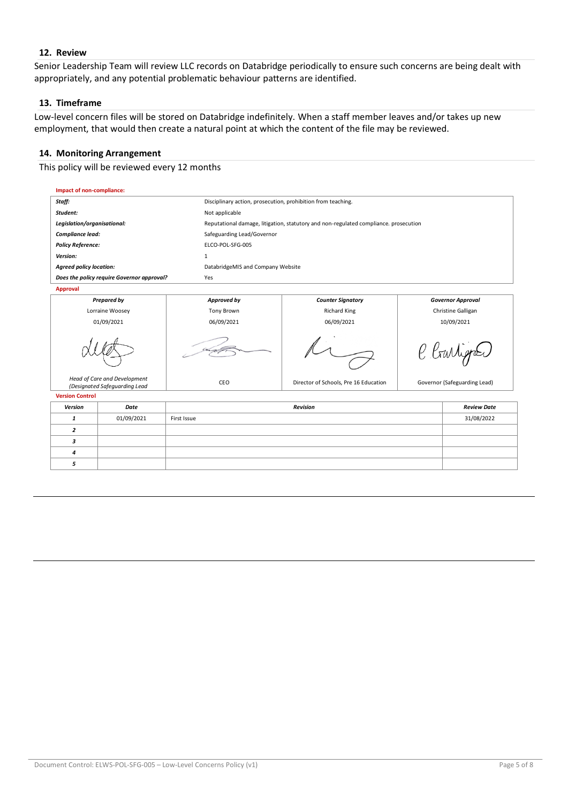## **12. Review**

Senior Leadership Team will review LLC records on Databridge periodically to ensure such concerns are being dealt with appropriately, and any potential problematic behaviour patterns are identified.

#### **13. Timeframe**

Low-level concern files will be stored on Databridge indefinitely. When a staff member leaves and/or takes up new employment, that would then create a natural point at which the content of the file may be reviewed.

## **14. Monitoring Arrangement**

This policy will be reviewed every 12 months

| Impact of non-compliance:                                     |            |                                                                                      |                                                              |                              |                    |  |
|---------------------------------------------------------------|------------|--------------------------------------------------------------------------------------|--------------------------------------------------------------|------------------------------|--------------------|--|
| Staff:                                                        |            |                                                                                      | Disciplinary action, prosecution, prohibition from teaching. |                              |                    |  |
| Student:                                                      |            | Not applicable                                                                       |                                                              |                              |                    |  |
| Legislation/organisational:                                   |            | Reputational damage, litigation, statutory and non-regulated compliance. prosecution |                                                              |                              |                    |  |
| Compliance lead:                                              |            | Safeguarding Lead/Governor                                                           |                                                              |                              |                    |  |
| <b>Policy Reference:</b>                                      |            | ELCO-POL-SFG-005                                                                     |                                                              |                              |                    |  |
| Version:                                                      |            | 1                                                                                    |                                                              |                              |                    |  |
| <b>Agreed policy location:</b>                                |            | DatabridgeMIS and Company Website                                                    |                                                              |                              |                    |  |
| Does the policy require Governor approval?                    |            | Yes                                                                                  |                                                              |                              |                    |  |
| <b>Approval</b>                                               |            |                                                                                      |                                                              |                              |                    |  |
| <b>Prepared by</b>                                            |            | Approved by                                                                          | <b>Counter Signatory</b>                                     | <b>Governor Approval</b>     |                    |  |
| Lorraine Woosey                                               |            | Tony Brown                                                                           | <b>Richard King</b>                                          | Christine Galligan           |                    |  |
| 01/09/2021                                                    |            | 06/09/2021                                                                           | 06/09/2021                                                   | 10/09/2021                   |                    |  |
|                                                               |            |                                                                                      |                                                              | C Crarlygot                  |                    |  |
| Head of Care and Development<br>(Designated Safeguarding Lead |            | CEO                                                                                  | Director of Schools, Pre 16 Education                        | Governor (Safeguarding Lead) |                    |  |
| <b>Version Control</b>                                        |            |                                                                                      |                                                              |                              |                    |  |
| <b>Version</b>                                                | Date       | <b>Revision</b>                                                                      |                                                              |                              | <b>Review Date</b> |  |
| $\mathbf{1}$                                                  | 01/09/2021 | 31/08/2022<br>First Issue                                                            |                                                              |                              |                    |  |
| $\overline{2}$                                                |            |                                                                                      |                                                              |                              |                    |  |
| 3                                                             |            |                                                                                      |                                                              |                              |                    |  |
| 4                                                             |            |                                                                                      |                                                              |                              |                    |  |
| 5                                                             |            |                                                                                      |                                                              |                              |                    |  |
|                                                               |            |                                                                                      |                                                              |                              |                    |  |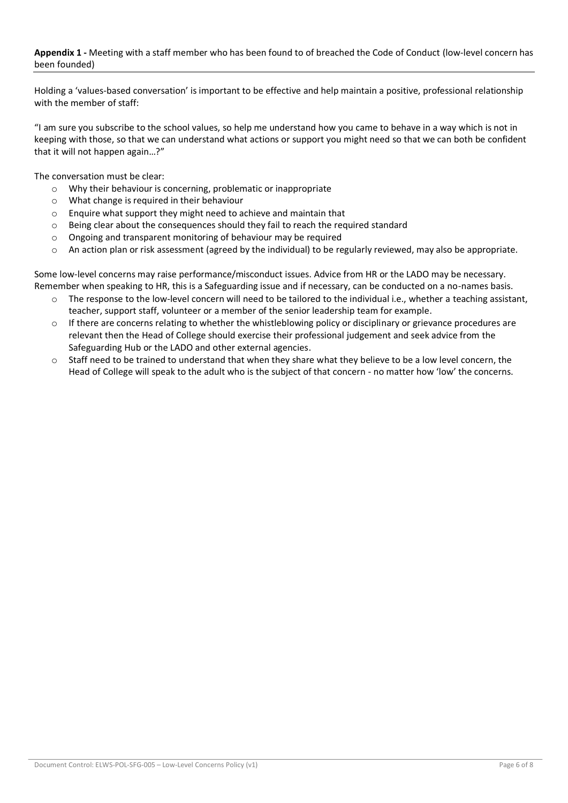## **Appendix 1 -** Meeting with a staff member who has been found to of breached the Code of Conduct (low-level concern has been founded)

Holding a 'values-based conversation' is important to be effective and help maintain a positive, professional relationship with the member of staff:

"I am sure you subscribe to the school values, so help me understand how you came to behave in a way which is not in keeping with those, so that we can understand what actions or support you might need so that we can both be confident that it will not happen again…?"

The conversation must be clear:

- o Why their behaviour is concerning, problematic or inappropriate
- o What change is required in their behaviour
- o Enquire what support they might need to achieve and maintain that
- $\circ$  Being clear about the consequences should they fail to reach the required standard
- o Ongoing and transparent monitoring of behaviour may be required
- o An action plan or risk assessment (agreed by the individual) to be regularly reviewed, may also be appropriate.

Some low-level concerns may raise performance/misconduct issues. Advice from HR or the LADO may be necessary. Remember when speaking to HR, this is a Safeguarding issue and if necessary, can be conducted on a no-names basis.

- $\circ$  The response to the low-level concern will need to be tailored to the individual i.e., whether a teaching assistant, teacher, support staff, volunteer or a member of the senior leadership team for example.
- $\circ$  If there are concerns relating to whether the whistleblowing policy or disciplinary or grievance procedures are relevant then the Head of College should exercise their professional judgement and seek advice from the Safeguarding Hub or the LADO and other external agencies.
- o Staff need to be trained to understand that when they share what they believe to be a low level concern, the Head of College will speak to the adult who is the subject of that concern - no matter how 'low' the concerns.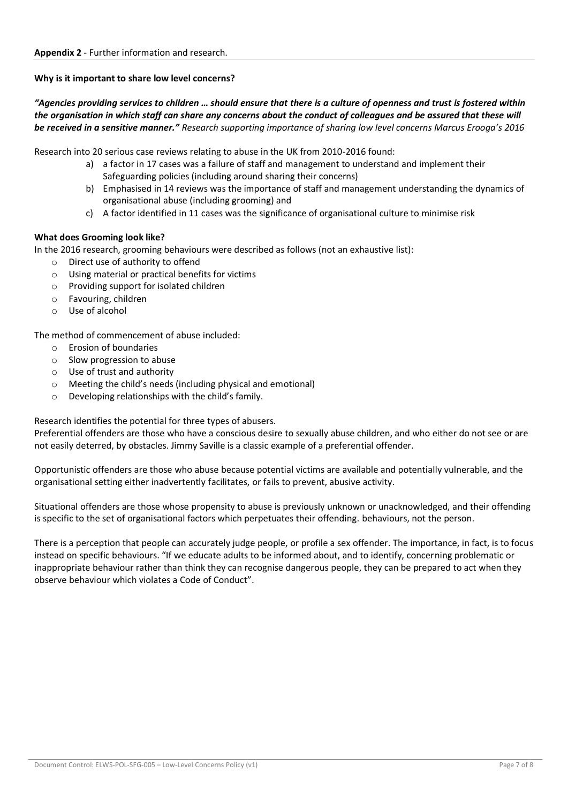## **Why is it important to share low level concerns?**

*"Agencies providing services to children … should ensure that there is a culture of openness and trust is fostered within the organisation in which staff can share any concerns about the conduct of colleagues and be assured that these will be received in a sensitive manner." Research supporting importance of sharing low level concerns Marcus Erooga's 2016*

Research into 20 serious case reviews relating to abuse in the UK from 2010-2016 found:

- a) a factor in 17 cases was a failure of staff and management to understand and implement their Safeguarding policies (including around sharing their concerns)
- b) Emphasised in 14 reviews was the importance of staff and management understanding the dynamics of organisational abuse (including grooming) and
- c) A factor identified in 11 cases was the significance of organisational culture to minimise risk

## **What does Grooming look like?**

In the 2016 research, grooming behaviours were described as follows (not an exhaustive list):

- o Direct use of authority to offend
- o Using material or practical benefits for victims
- o Providing support for isolated children
- o Favouring, children
- o Use of alcohol

The method of commencement of abuse included:

- o Erosion of boundaries
- o Slow progression to abuse
- o Use of trust and authority
- o Meeting the child's needs (including physical and emotional)
- o Developing relationships with the child's family.

Research identifies the potential for three types of abusers.

Preferential offenders are those who have a conscious desire to sexually abuse children, and who either do not see or are not easily deterred, by obstacles. Jimmy Saville is a classic example of a preferential offender.

Opportunistic offenders are those who abuse because potential victims are available and potentially vulnerable, and the organisational setting either inadvertently facilitates, or fails to prevent, abusive activity.

Situational offenders are those whose propensity to abuse is previously unknown or unacknowledged, and their offending is specific to the set of organisational factors which perpetuates their offending. behaviours, not the person.

There is a perception that people can accurately judge people, or profile a sex offender. The importance, in fact, is to focus instead on specific behaviours. "If we educate adults to be informed about, and to identify, concerning problematic or inappropriate behaviour rather than think they can recognise dangerous people, they can be prepared to act when they observe behaviour which violates a Code of Conduct".